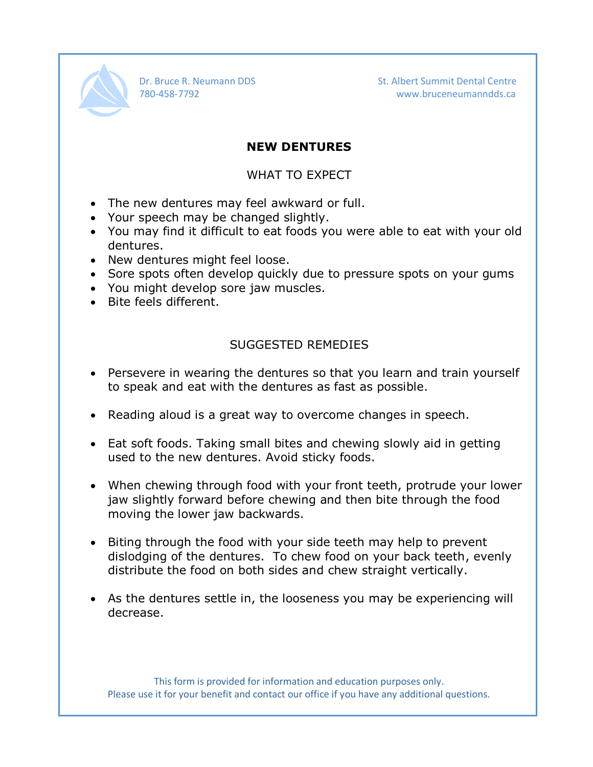

Dr. Bruce R. Neumann DDS St. Albert Summit Dental Centre 780-458-7792 www.bruceneumanndds.ca

## **NEW DENTURES**

## WHAT TO EXPECT

- The new dentures may feel awkward or full.
- Your speech may be changed slightly.
- You may find it difficult to eat foods you were able to eat with your old dentures.
- New dentures might feel loose.
- Sore spots often develop quickly due to pressure spots on your gums
- You might develop sore jaw muscles.
- Bite feels different.

## SUGGESTED REMEDIES

- Persevere in wearing the dentures so that you learn and train yourself to speak and eat with the dentures as fast as possible.
- Reading aloud is a great way to overcome changes in speech.
- Eat soft foods. Taking small bites and chewing slowly aid in getting used to the new dentures. Avoid sticky foods.
- When chewing through food with your front teeth, protrude your lower jaw slightly forward before chewing and then bite through the food moving the lower jaw backwards.
- Biting through the food with your side teeth may help to prevent dislodging of the dentures. To chew food on your back teeth, evenly distribute the food on both sides and chew straight vertically.
- As the dentures settle in, the looseness you may be experiencing will decrease.

This form is provided for information and education purposes only. Please use it for your benefit and contact our office if you have any additional questions.